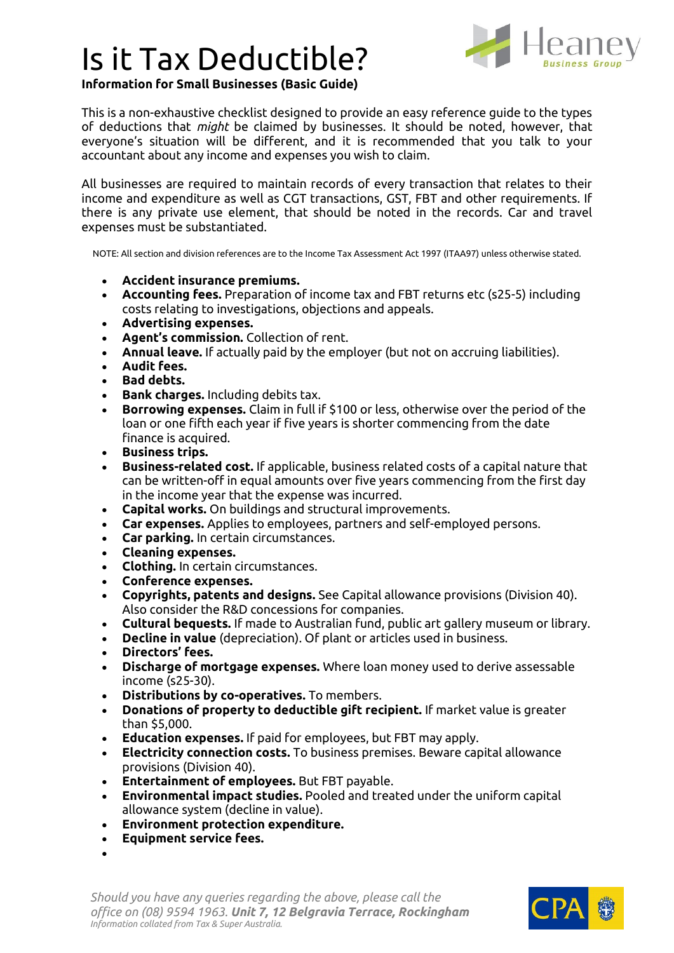## Is it Tax Deductible?



**Information for Small Businesses (Basic Guide)**

This is a non-exhaustive checklist designed to provide an easy reference guide to the types of deductions that *might* be claimed by businesses. It should be noted, however, that everyone's situation will be different, and it is recommended that you talk to your accountant about any income and expenses you wish to claim.

All businesses are required to maintain records of every transaction that relates to their income and expenditure as well as CGT transactions, GST, FBT and other requirements. If there is any private use element, that should be noted in the records. Car and travel expenses must be substantiated.

NOTE: All section and division references are to the Income Tax Assessment Act 1997 (ITAA97) unless otherwise stated.

- **Accident insurance premiums.**
- **Accounting fees.** Preparation of income tax and FBT returns etc (s25-5) including costs relating to investigations, objections and appeals.
- **Advertising expenses.**
- **Agent's commission.** Collection of rent.
- **Annual leave.** If actually paid by the employer (but not on accruing liabilities).
- **Audit fees.**
- **Bad debts.**
- **Bank charges.** Including debits tax.
- **Borrowing expenses.** Claim in full if \$100 or less, otherwise over the period of the loan or one fifth each year if five years is shorter commencing from the date finance is acquired.
- **Business trips.**
- **Business-related cost.** If applicable, business related costs of a capital nature that can be written-off in equal amounts over five years commencing from the first day in the income year that the expense was incurred.
- **Capital works.** On buildings and structural improvements.
- **Car expenses.** Applies to employees, partners and self-employed persons.
- **Car parking.** In certain circumstances.
- **Cleaning expenses.**
- **Clothing.** In certain circumstances.
- **Conference expenses.**
- **Copyrights, patents and designs.** See Capital allowance provisions (Division 40). Also consider the R&D concessions for companies.
- **Cultural bequests.** If made to Australian fund, public art gallery museum or library.
- **Decline in value** (depreciation). Of plant or articles used in business.
- **Directors' fees.**
- **Discharge of mortgage expenses.** Where loan money used to derive assessable income (s25-30).
- **Distributions by co-operatives.** To members.
- **Donations of property to deductible gift recipient.** If market value is greater than \$5,000.
- **Education expenses.** If paid for employees, but FBT may apply.
- **Electricity connection costs.** To business premises. Beware capital allowance provisions (Division 40).
- **Entertainment of employees.** But FBT payable.
- **Environmental impact studies.** Pooled and treated under the uniform capital allowance system (decline in value).
- **Environment protection expenditure.**
- **Equipment service fees.**
- •

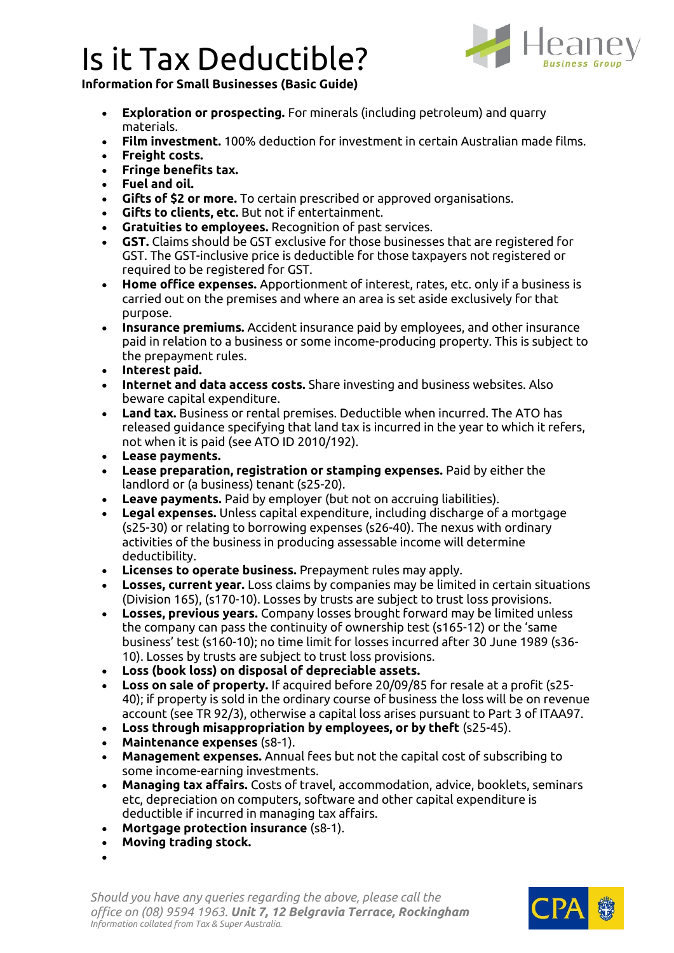## Is it Tax Deductible?



**Information for Small Businesses (Basic Guide)**

- **Exploration or prospecting.** For minerals (including petroleum) and quarry materials.
- **Film investment.** 100% deduction for investment in certain Australian made films.
- **Freight costs.**
- **Fringe benefits tax.**
- **Fuel and oil.**
- **Gifts of \$2 or more.** To certain prescribed or approved organisations.
- **Gifts to clients, etc.** But not if entertainment.
- **Gratuities to employees.** Recognition of past services.
- **GST.** Claims should be GST exclusive for those businesses that are registered for GST. The GST-inclusive price is deductible for those taxpayers not registered or required to be registered for GST.
- **Home office expenses.** Apportionment of interest, rates, etc. only if a business is carried out on the premises and where an area is set aside exclusively for that purpose.
- **Insurance premiums.** Accident insurance paid by employees, and other insurance paid in relation to a business or some income-producing property. This is subject to the prepayment rules.
- **Interest paid.**
- **Internet and data access costs.** Share investing and business websites. Also beware capital expenditure.
- **Land tax.** Business or rental premises. Deductible when incurred. The ATO has released guidance specifying that land tax is incurred in the year to which it refers, not when it is paid (see ATO ID 2010/192).
- **Lease payments.**
- **Lease preparation, registration or stamping expenses.** Paid by either the landlord or (a business) tenant (s25-20).
- **Leave payments.** Paid by employer (but not on accruing liabilities).
- **Legal expenses.** Unless capital expenditure, including discharge of a mortgage (s25-30) or relating to borrowing expenses (s26-40). The nexus with ordinary activities of the business in producing assessable income will determine deductibility.
- **Licenses to operate business.** Prepayment rules may apply.
- **Losses, current year.** Loss claims by companies may be limited in certain situations (Division 165), (s170-10). Losses by trusts are subject to trust loss provisions.
- **Losses, previous years.** Company losses brought forward may be limited unless the company can pass the continuity of ownership test (s165-12) or the 'same business' test (s160-10); no time limit for losses incurred after 30 June 1989 (s36- 10). Losses by trusts are subject to trust loss provisions.
- **Loss (book loss) on disposal of depreciable assets.**
- **Loss on sale of property.** If acquired before 20/09/85 for resale at a profit (s25- 40); if property is sold in the ordinary course of business the loss will be on revenue account (see TR 92/3), otherwise a capital loss arises pursuant to Part 3 of ITAA97.
- **Loss through misappropriation by employees, or by theft** (s25-45).
- **Maintenance expenses** (s8-1).
- **Management expenses.** Annual fees but not the capital cost of subscribing to some income-earning investments.
- **Managing tax affairs.** Costs of travel, accommodation, advice, booklets, seminars etc, depreciation on computers, software and other capital expenditure is deductible if incurred in managing tax affairs.
- **Mortgage protection insurance** (s8-1).
- **Moving trading stock.**
- •